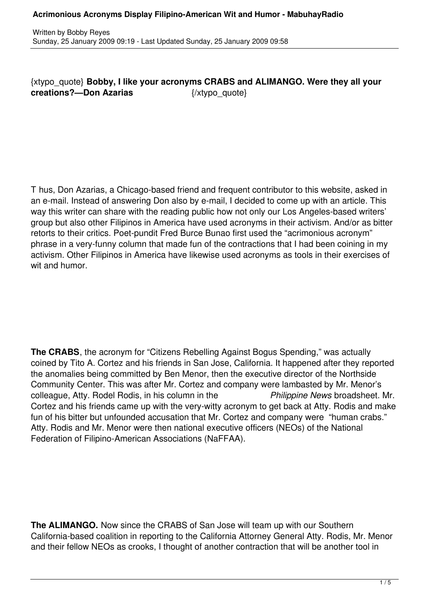{xtypo\_quote} **Bobby, I like your acronyms CRABS and ALIMANGO. Were they all your creations?—Don Azarias** {/xtypo\_quote}

T hus, Don Azarias, a Chicago-based friend and frequent contributor to this website, asked in an e-mail. Instead of answering Don also by e-mail, I decided to come up with an article. This way this writer can share with the reading public how not only our Los Angeles-based writers' group but also other Filipinos in America have used acronyms in their activism. And/or as bitter retorts to their critics. Poet-pundit Fred Burce Bunao first used the "acrimonious acronym" phrase in a very-funny column that made fun of the contractions that I had been coining in my activism. Other Filipinos in America have likewise used acronyms as tools in their exercises of wit and humor.

**The CRABS**, the acronym for "Citizens Rebelling Against Bogus Spending," was actually coined by Tito A. Cortez and his friends in San Jose, California. It happened after they reported the anomalies being committed by Ben Menor, then the executive director of the Northside Community Center. This was after Mr. Cortez and company were lambasted by Mr. Menor's colleague, Atty. Rodel Rodis, in his column in the *Philippine News* broadsheet. Mr. Cortez and his friends came up with the very-witty acronym to get back at Atty. Rodis and make fun of his bitter but unfounded accusation that Mr. Cortez and company were "human crabs." Atty. Rodis and Mr. Menor were then national executive officers (NEOs) of the National Federation of Filipino-American Associations (NaFFAA).

**The ALIMANGO.** Now since the CRABS of San Jose will team up with our Southern California-based coalition in reporting to the California Attorney General Atty. Rodis, Mr. Menor and their fellow NEOs as crooks, I thought of another contraction that will be another tool in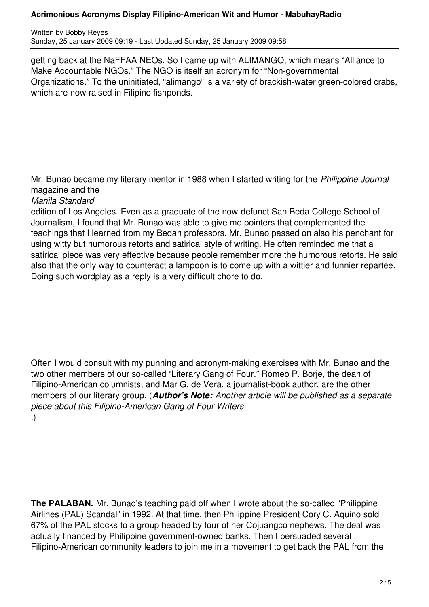## **Acrimonious Acronyms Display Filipino-American Wit and Humor - MabuhayRadio**

Written by Bobby Reyes Sunday, 25 January 2009 09:19 - Last Updated Sunday, 25 January 2009 09:58

getting back at the NaFFAA NEOs. So I came up with ALIMANGO, which means "Alliance to Make Accountable NGOs." The NGO is itself an acronym for "Non-governmental Organizations." To the uninitiated, "alimango" is a variety of brackish-water green-colored crabs, which are now raised in Filipino fishponds.

Mr. Bunao became my literary mentor in 1988 when I started writing for the *Philippine Journal* magazine and the

*Manila Standard*

edition of Los Angeles. Even as a graduate of the now-defunct San Beda College School of Journalism, I found that Mr. Bunao was able to give me pointers that complemented the teachings that I learned from my Bedan professors. Mr. Bunao passed on also his penchant for using witty but humorous retorts and satirical style of writing. He often reminded me that a satirical piece was very effective because people remember more the humorous retorts. He said also that the only way to counteract a lampoon is to come up with a wittier and funnier repartee. Doing such wordplay as a reply is a very difficult chore to do.

Often I would consult with my punning and acronym-making exercises with Mr. Bunao and the two other members of our so-called "Literary Gang of Four." Romeo P. Borje, the dean of Filipino-American columnists, and Mar G. de Vera, a journalist-book author, are the other members of our literary group. (*Author's Note: Another article will be published as a separate piece about this Filipino-American Gang of Four Writers* .)

**The PALABAN.** Mr. Bunao's teaching paid off when I wrote about the so-called "Philippine" Airlines (PAL) Scandal" in 1992. At that time, then Philippine President Cory C. Aquino sold 67% of the PAL stocks to a group headed by four of her Cojuangco nephews. The deal was actually financed by Philippine government-owned banks. Then I persuaded several Filipino-American community leaders to join me in a movement to get back the PAL from the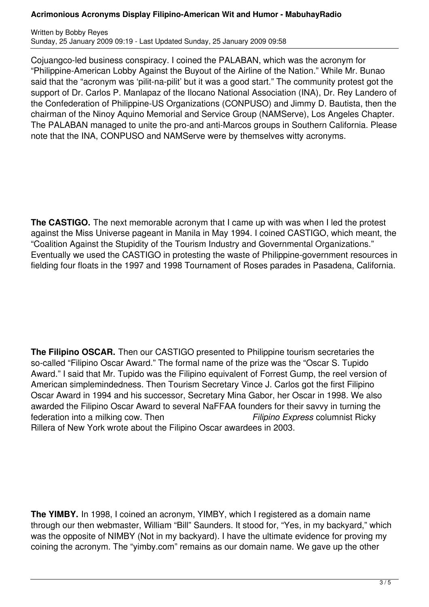## **Acrimonious Acronyms Display Filipino-American Wit and Humor - MabuhayRadio**

Written by Bobby Reyes Sunday, 25 January 2009 09:19 - Last Updated Sunday, 25 January 2009 09:58

Cojuangco-led business conspiracy. I coined the PALABAN, which was the acronym for "Philippine-American Lobby Against the Buyout of the Airline of the Nation." While Mr. Bunao said that the "acronym was 'pilit-na-pilit' but it was a good start." The community protest got the support of Dr. Carlos P. Manlapaz of the Ilocano National Association (INA), Dr. Rey Landero of the Confederation of Philippine-US Organizations (CONPUSO) and Jimmy D. Bautista, then the chairman of the Ninoy Aquino Memorial and Service Group (NAMServe), Los Angeles Chapter. The PALABAN managed to unite the pro-and anti-Marcos groups in Southern California. Please note that the INA, CONPUSO and NAMServe were by themselves witty acronyms.

**The CASTIGO.** The next memorable acronym that I came up with was when I led the protest against the Miss Universe pageant in Manila in May 1994. I coined CASTIGO, which meant, the "Coalition Against the Stupidity of the Tourism Industry and Governmental Organizations." Eventually we used the CASTIGO in protesting the waste of Philippine-government resources in fielding four floats in the 1997 and 1998 Tournament of Roses parades in Pasadena, California.

**The Filipino OSCAR.** Then our CASTIGO presented to Philippine tourism secretaries the so-called "Filipino Oscar Award." The formal name of the prize was the "Oscar S. Tupido Award." I said that Mr. Tupido was the Filipino equivalent of Forrest Gump, the reel version of American simplemindedness. Then Tourism Secretary Vince J. Carlos got the first Filipino Oscar Award in 1994 and his successor, Secretary Mina Gabor, her Oscar in 1998. We also awarded the Filipino Oscar Award to several NaFFAA founders for their savvy in turning the federation into a milking cow. Then *Filipino Express* columnist Ricky Rillera of New York wrote about the Filipino Oscar awardees in 2003.

**The YIMBY.** In 1998, I coined an acronym, YIMBY, which I registered as a domain name through our then webmaster, William "Bill" Saunders. It stood for, "Yes, in my backyard," which was the opposite of NIMBY (Not in my backyard). I have the ultimate evidence for proving my coining the acronym. The "yimby.com" remains as our domain name. We gave up the other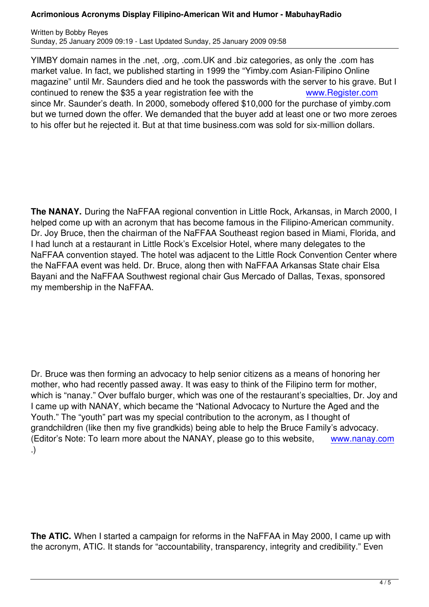YIMBY domain names in the .net, .org, .com.UK and .biz categories, as only the .com has market value. In fact, we published starting in 1999 the "Yimby.com Asian-Filipino Online magazine" until Mr. Saunders died and he took the passwords with the server to his grave. But I continued to renew the \$35 a year registration fee with the www.Register.com since Mr. Saunder's death. In 2000, somebody offered \$10,000 for the purchase of yimby.com but we turned down the offer. We demanded that the buyer add at least one or two more zeroes to his offer but he rejected it. But at that time business.com was sold for [six-million dollars.](http://www.register.com/)

**The NANAY.** During the NaFFAA regional convention in Little Rock, Arkansas, in March 2000, I helped come up with an acronym that has become famous in the Filipino-American community. Dr. Joy Bruce, then the chairman of the NaFFAA Southeast region based in Miami, Florida, and I had lunch at a restaurant in Little Rock's Excelsior Hotel, where many delegates to the NaFFAA convention stayed. The hotel was adjacent to the Little Rock Convention Center where the NaFFAA event was held. Dr. Bruce, along then with NaFFAA Arkansas State chair Elsa Bayani and the NaFFAA Southwest regional chair Gus Mercado of Dallas, Texas, sponsored my membership in the NaFFAA.

Dr. Bruce was then forming an advocacy to help senior citizens as a means of honoring her mother, who had recently passed away. It was easy to think of the Filipino term for mother, which is "nanay." Over buffalo burger, which was one of the restaurant's specialties, Dr. Joy and I came up with NANAY, which became the "National Advocacy to Nurture the Aged and the Youth." The "youth" part was my special contribution to the acronym, as I thought of grandchildren (like then my five grandkids) being able to help the Bruce Family's advocacy. (Editor's Note: To learn more about the NANAY, please go to this website, www.nanay.com .)

**The ATIC.** When I started a campaign for reforms in the NaFFAA in May 2000, I came up with the acronym, ATIC. It stands for "accountability, transparency, integrity and credibility." Even